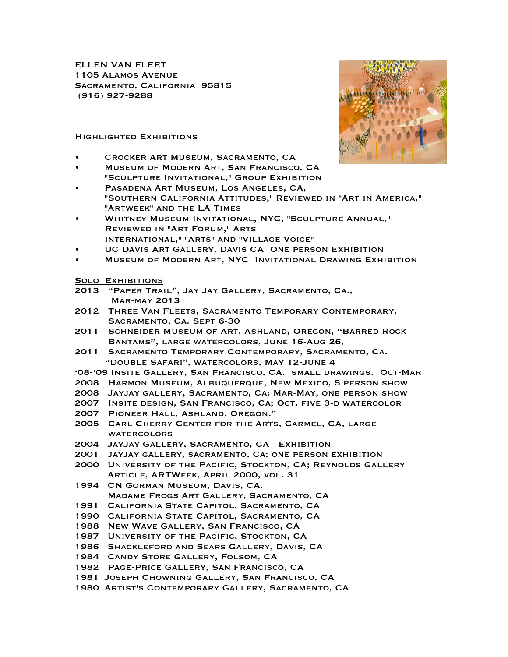ELLEN VAN FLEET 1105 Alamos Avenue Sacramento, California 95815 (916) 927-9288

## Highlighted Exhibitions

- Crocker Art Museum, Sacramento, CA
- Museum of Modern Art, San Francisco, CA "Sculpture Invitational," Group Exhibition
- PASADENA ART MUSEUM, LOS ANGELES, CA, "Southern California Attitudes," Reviewed in "Art in America," "Artweek" and the LA Times
- Whitney Museum Invitational, NYC, "Sculpture Annual," Reviewed in "Art Forum," Arts International," "Arts" and "Village Voice"
- UC Davis Art Gallery, Davis CA One person Exhibition
- Museum of Modern Art, NYC Invitational Drawing Exhibition

## **SOLO EXHIBITIONS**

- 2013 "Paper Trail", Jay Jay Gallery, Sacramento, Ca., Mar-may 2013
- 2012 Three Van Fleets, Sacramento Temporary Contemporary, Sacramento, Ca. Sept 6-30
- 2011 Schneider Museum of Art, Ashland, Oregon, "Barred Rock Bantams", large watercolors, June 16-Aug 26,
- 2011 Sacramento Temporary Contemporary, Sacramento, Ca. "Double Safari", watercolors, May 12-June 4
- '08-'09 Insite Gallery, San Francisco, CA. small drawings. Oct-Mar
- 2008 Harmon Museum, Albuquerque, New Mexico, 5 person show
- 2008 Jayjay gallery, Sacramento, Ca; Mar-May, one person show
- 2007 Insite design, San Francisco, Ca; Oct. five 3-d watercolor
- 2007 Pioneer Hall, Ashland, Oregon."
- 2005 Carl Cherry Center for the Arts, Carmel, CA, large **WATERCOLORS**
- 2004 JayJay Gallery, Sacramento, CA Exhibition
- 2001 jayjay gallery, sacramento, Ca; one person exhibition
- 2000 University of the Pacific, Stockton, CA; Reynolds Gallery Article, ARTWeek, April 2000, vol. 31
- 1994 CN Gorman Museum, Davis, CA. Madame Frogs Art Gallery, Sacramento, CA
- 1991 California State Capitol, Sacramento, CA
- 1990 California State Capitol, Sacramento, CA
- 1988 New Wave Gallery, San Francisco, CA
- 1987 University of the Pacific, Stockton, CA
- 1986 Shackleford and Sears Gallery, Davis, CA
- 1984 Candy Store Gallery, Folsom, CA
- 1982 Page-Price Gallery, San Francisco, CA
- 1981 Joseph Chowning Gallery, San Francisco, CA
- 1980 Artist's Contemporary Gallery, Sacramento, CA

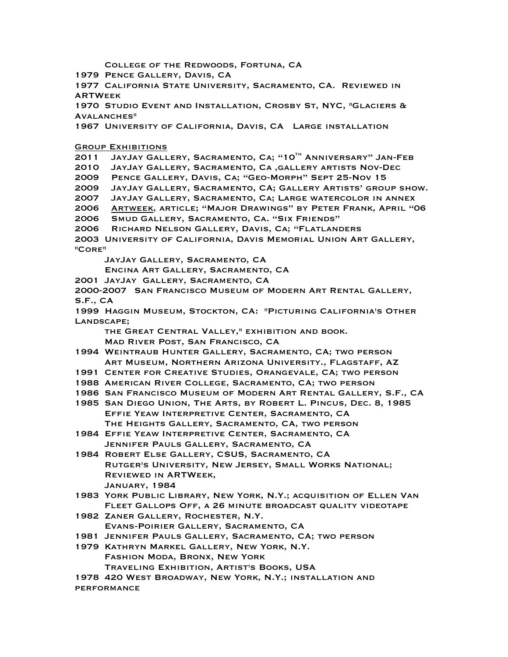College of the Redwoods, Fortuna, CA 1979 Pence Gallery, Davis, CA 1977 California State University, Sacramento, CA. Reviewed in **ARTWEEK** 1970 Studio Event and Installation, Crosby St, NYC, "Glaciers & Avalanches" 1967 University of California, Davis, CA Large installation **GROUP EXHIBITIONS** 2011 JAYJAY GALLERY, SACRAMENTO, CA; "10TH ANNIVERSARY" JAN-FEB 2010 JayJay Gallery, Sacramento, Ca ,gallery artists Nov-Dec 2009 Pence Gallery, Davis, Ca; "Geo-Morph" Sept 25-Nov 15 2009 JayJay Gallery, Sacramento, CA; Gallery Artists' group show. 2007 JayJay Gallery, Sacramento, Ca; Large watercolor in annex 2006 Artweek, article; "Major Drawings" by Peter Frank, April "06 2006 Smud Gallery, Sacramento, Ca. "Six Friends" 2006 Richard Nelson Gallery, Davis, Ca; "Flatlanders 2003 University of California, Davis Memorial Union Art Gallery, "Core" JayJay Gallery, Sacramento, CA Encina Art Gallery, Sacramento, CA 2001 JayJay Gallery, Sacramento, CA 2000-2007 San Francisco Museum of Modern Art Rental Gallery, S.F., CA 1999 Haggin Museum, Stockton, CA: "Picturing California's Other Landscape; the Great Central Valley," exhibition and book. Mad River Post, San Francisco, CA 1994 Weintraub Hunter Gallery, Sacramento, CA; two person Art Museum, Northern Arizona University., Flagstaff, AZ 1991 Center for Creative Studies, Orangevale, CA; two person 1988 American River College, Sacramento, CA; two person 1986 San Francisco Museum of Modern Art Rental Gallery, S.F., CA 1985 San Diego Union, The Arts, by Robert L. Pincus, Dec. 8, 1985 Effie Yeaw Interpretive Center, Sacramento, CA The Heights Gallery, Sacramento, CA, two person 1984 Effie Yeaw Interpretive Center, Sacramento, CA Jennifer Pauls Gallery, Sacramento, CA 1984 Robert Else Gallery, CSUS, Sacramento, CA Rutger's University, New Jersey, Small Works National; Reviewed in ARTWeek, January, 1984 1983 York Public Library, New York, N.Y.; acquisition of Ellen Van Fleet Gallops Off, a 26 minute broadcast quality videotape 1982 Zaner Gallery, Rochester, N.Y. Evans-Poirier Gallery, Sacramento, CA 1981 Jennifer Pauls Gallery, Sacramento, CA; two person 1979 Kathryn Markel Gallery, New York, N.Y. Fashion Moda, Bronx, New York Traveling Exhibition, Artist's Books, USA 1978 420 West Broadway, New York, N.Y.; installation and performance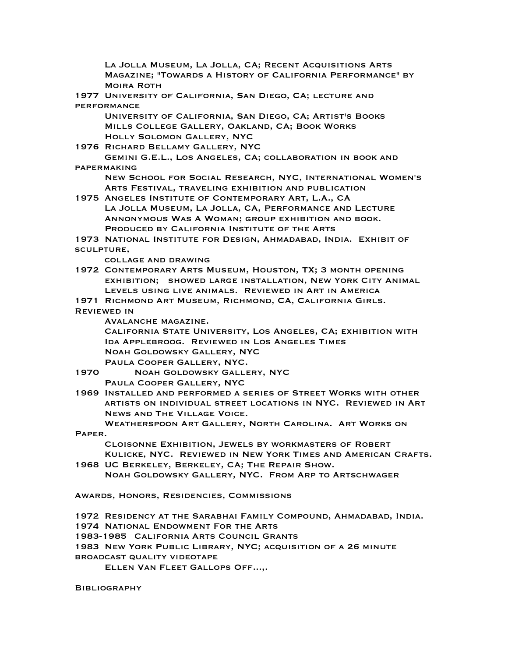La Jolla Museum, La Jolla, CA; Recent Acquisitions Arts Magazine; "Towards a History of California Performance" by Moira Roth 1977 University of California, San Diego, CA; lecture and performance University of California, San Diego, CA; Artist's Books Mills College Gallery, Oakland, CA; Book Works Holly Solomon Gallery, NYC 1976 Richard Bellamy Gallery, NYC Gemini G.E.L., Los Angeles, CA; collaboration in book and papermaking New School for Social Research, NYC, International Women's Arts Festival, traveling exhibition and publication 1975 Angeles Institute of Contemporary Art, L.A., CA La Jolla Museum, La Jolla, CA, Performance and Lecture Annonymous Was A Woman; group exhibition and book. Produced by California Institute of the Arts 1973 National Institute for Design, Ahmadabad, India. Exhibit of sculpture, collage and drawing 1972 Contemporary Arts Museum, Houston, TX; 3 month opening exhibition; showed large installation, New York City Animal Levels using live animals. Reviewed in Art in America 1971 Richmond Art Museum, Richmond, CA, California Girls. Reviewed in Avalanche magazine. California State University, Los Angeles, CA; exhibition with Ida Applebroog. Reviewed in Los Angeles Times Noah Goldowsky Gallery, NYC Paula Cooper Gallery, NYC. 1970 Noah Goldowsky Gallery, NYC Paula Cooper Gallery, NYC 1969 Installed and performed a series of Street Works with other artists on individual street locations in NYC. Reviewed in Art News and The Village Voice. Weatherspoon Art Gallery, North Carolina. Art Works on Paper. Cloisonne Exhibition, Jewels by workmasters of Robert Kulicke, NYC. Reviewed in New York Times and American Crafts. 1968 UC Berkeley, Berkeley, CA; The Repair Show. Noah Goldowsky Gallery, NYC. From Arp to Artschwager Awards, Honors, Residencies, Commissions 1972 Residency at the Sarabhai Family Compound, Ahmadabad, India. 1974 National Endowment For the Arts 1983-1985 California Arts Council Grants 1983 New York Public Library, NYC; acquisition of a 26 minute

broadcast quality videotape

Ellen Van Fleet Gallops Off...,.

**BIBLIOGRAPHY**